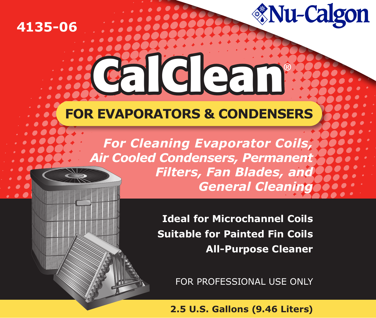## **4135-06**

# **FOR EVAPORATORS & CONDENSERS FOR EVAPORATORS & CONDENSERS**

**CalClean**

*For Cleaning Evaporator Coils, Air Cooled Condensers, Permanent Filters, Fan Blades, and General Cleaning*

*<u>Mu-Calgon</u>* 

**Ideal for Microchannel Coils Suitable for Painted Fin Coils All-Purpose Cleaner**

FOR PROFESSIONAL USE ONLY

**2.5 U.S. Gallons (9.46 Liters)**